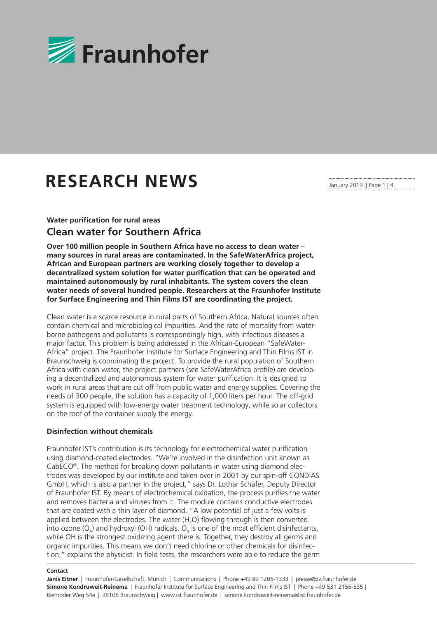

# **RESEARCH NEWS**

January 2019 || Page 1 | 4

### **Water purification for rural areas Clean water for Southern Africa**

**Over 100 million people in Southern Africa have no access to clean water – many sources in rural areas are contaminated. In the SafeWaterAfrica project, African and European partners are working closely together to develop a decentralized system solution for water purification that can be operated and maintained autonomously by rural inhabitants. The system covers the clean water needs of several hundred people. Researchers at the Fraunhofer Institute for Surface Engineering and Thin Films IST are coordinating the project.**

Clean water is a scarce resource in rural parts of Southern Africa. Natural sources often contain chemical and microbiological impurities. And the rate of mortality from waterborne pathogens and pollutants is correspondingly high, with infectious diseases a major factor. This problem is being addressed in the African-European "SafeWater-Africa" project. The Fraunhofer Institute for Surface Engineering and Thin Films IST in Braunschweig is coordinating the project. To provide the rural population of Southern Africa with clean water, the project partners (see SafeWaterAfrica profile) are developing a decentralized and autonomous system for water purification. It is designed to work in rural areas that are cut off from public water and energy supplies. Covering the needs of 300 people, the solution has a capacity of 1,000 liters per hour. The off-grid system is equipped with low-energy water treatment technology, while solar collectors on the roof of the container supply the energy.

### **Disinfection without chemicals**

Fraunhofer IST's contribution is its technology for electrochemical water purification using diamond-coated electrodes. "We're involved in the disinfection unit known as CabECO®. The method for breaking down pollutants in water using diamond electrodes was developed by our institute and taken over in 2001 by our spin-off CONDIAS GmbH, which is also a partner in the project," says Dr. Lothar Schäfer, Deputy Director of Fraunhofer IST. By means of electrochemical oxidation, the process purifies the water and removes bacteria and viruses from it. The module contains conductive electrodes that are coated with a thin layer of diamond. "A low potential of just a few volts is applied between the electrodes. The water  $(H_2O)$  flowing through is then converted into ozone (O<sub>3</sub>) and hydroxyl (OH) radicals. O<sub>3</sub> is one of the most efficient disinfectants, while OH is the strongest oxidizing agent there is. Together, they destroy all germs and organic impurities. This means we don't need chlorine or other chemicals for disinfection," explains the physicist. In field tests, the researchers were able to reduce the germ

#### **Contact**

**Janis Eitner** | Fraunhofer-Gesellschaft, Munich | Communications | Phone +49 89 1205-1333 | presse@zv.fraunhofer.de **Simone Kondruweit-Reinema** | Fraunhofer Institute for Surface Engineering and Thin Films IST | Phone +49 531 2155-535 | Bienroder Weg 54e | 38108 Braunschweig | www.ist.fraunhofer.de | simone.kondruweit-reinema@ist.fraunhofer.de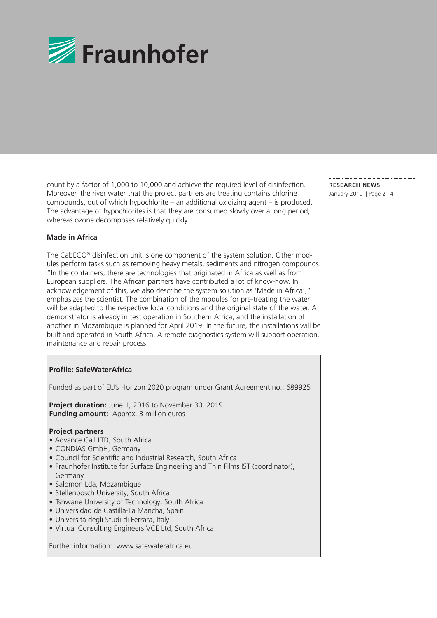

count by a factor of 1,000 to 10,000 and achieve the required level of disinfection. Moreover, the river water that the project partners are treating contains chlorine compounds, out of which hypochlorite – an additional oxidizing agent – is produced. The advantage of hypochlorites is that they are consumed slowly over a long period, whereas ozone decomposes relatively quickly.

# January 2019 || Page 2 | 4

**RESEARCH NEWS** 

### **Made in Africa**

The CabECO® disinfection unit is one component of the system solution. Other modules perform tasks such as removing heavy metals, sediments and nitrogen compounds. "In the containers, there are technologies that originated in Africa as well as from European suppliers. The African partners have contributed a lot of know-how. In acknowledgement of this, we also describe the system solution as 'Made in Africa'," emphasizes the scientist. The combination of the modules for pre-treating the water will be adapted to the respective local conditions and the original state of the water. A demonstrator is already in test operation in Southern Africa, and the installation of another in Mozambique is planned for April 2019. In the future, the installations will be built and operated in South Africa. A remote diagnostics system will support operation, maintenance and repair process.

### **Profile: SafeWaterAfrica**

Funded as part of EU's Horizon 2020 program under Grant Agreement no.: 689925

 **Project duration:** June 1, 2016 to November 30, 2019 **Funding amount:** Approx. 3 million euros

### **Project partners**

- Advance Call LTD, South Africa
- CONDIAS GmbH, Germany
- Council for Scientific and Industrial Research, South Africa
- Fraunhofer Institute for Surface Engineering and Thin Films IST (coordinator), Germany
- Salomon Lda, Mozambique
- Stellenbosch University, South Africa
- Tshwane University of Technology, South Africa
- Universidad de Castilla-La Mancha, Spain
- Università degli Studi di Ferrara, Italy
- Virtual Consulting Engineers VCE Ltd, South Africa

Further information: www.safewaterafrica.eu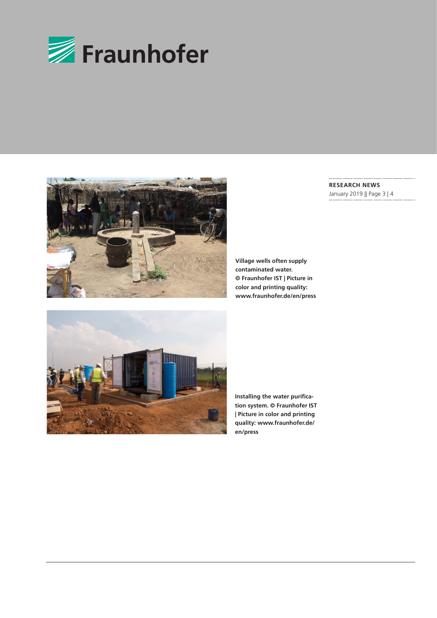



**RESEARCH NEWS** January 2019 || Page 3 | 4

**Village wells often supply contaminated water. © Fraunhofer IST | Picture in color and printing quality: www.fraunhofer.de/en/press**



**Installing the water purification system. © Fraunhofer IST | Picture in color and printing quality: www.fraunhofer.de/ en/press**